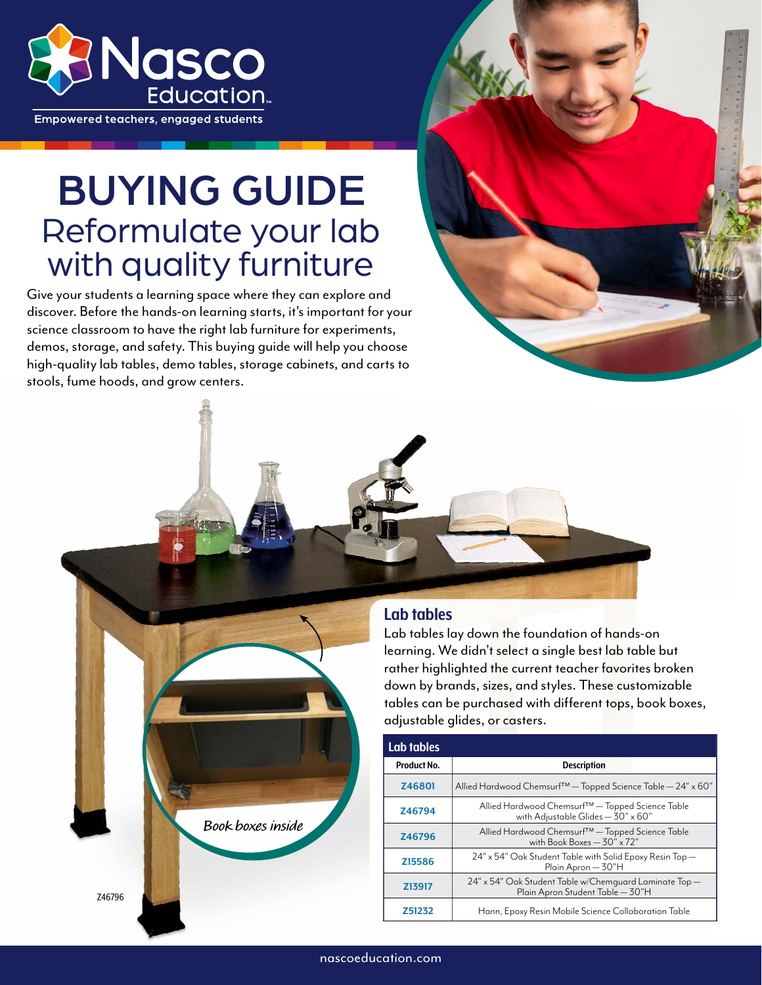

**Empowered teachers, engaged students** 

# BUYING GUIDE Reformulate your lab with quality furniture

Give your students a learning space where they can explore and discover. Before the hands-on learning starts, it's important for your science classroom to have the right lab furniture for experiments, demos, storage, and safety. This buying guide will help you choose high-quality lab tables, demo tables, storage cabinets, and carts to stools, fume hoods, and grow centers.

**Book boxes inside**



#### **Lab tables**

Lab tables lay down the foundation of hands-on learning. We didn't select a single best lab table but rather highlighted the current teacher favorites broken down by brands, sizes, and styles. These customizable tables can be purchased with different tops, book boxes, adjustable glides, or casters.

| Lab tables  |                                                                                            |
|-------------|--------------------------------------------------------------------------------------------|
| Product No. | <b>Description</b>                                                                         |
| Z46801      | Allied Hardwood Chemsurf <sup>™</sup> - Topped Science Table - 24" x 60"                   |
| Z46794      | Allied Hardwood Chemsurf™— Topped Science Table<br>with Adjustable Glides - 30" x 60"      |
| Z46796      | Allied Hardwood Chemsurf™— Topped Science Table<br>with Book Boxes $-30" \times 72"$       |
| Z15586      | 24" x 54" Oak Student Table with Solid Epoxy Resin Top —<br>Plain Apron - 30"H             |
| Z13917      | 24" x 54" Oak Student Table w/Chemguard Laminate Top —<br>Plain Apron Student Table - 30"H |
| Z51232      | Hann, Epoxy Resin Mobile Science Collaboration Table                                       |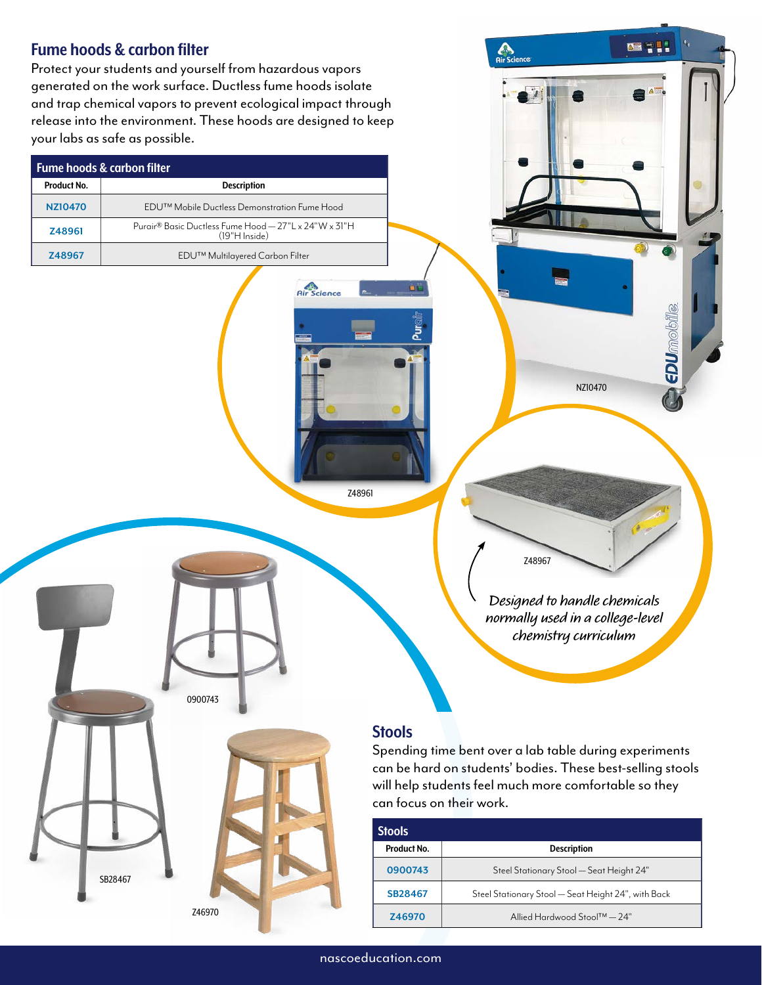## **ART 711 Fume hoods & carbon filter C**<br>Rir Scienc Protect your students and yourself from hazardous vapors generated on the work surface. Ductless fume hoods isolate and trap chemical vapors to prevent ecological impact through release into the environment. These hoods are designed to keep your labs as safe as possible. **Fume hoods & carbon filter Product No. Description [NZ10470](https://www.enasco.com/p/NZ10470) EDU™** Mobile Ductless Demonstration Fume Hood **[Z48961](https://www.enasco.com/p/Z48961)** Purair<sup>®</sup> Basic Ductless Fume Hood — 27"L x 24"W x 31"H (19"H Inside) **[Z48967](https://www.enasco.com/p/Z48967)** EDU™ Multilayered Carbon Filter **Air** Science **EDU**mobile [NZ10470](https://www.enasco.com/p/NZ10470) [Z48961](https://www.enasco.com/p/Z48961) [Z48967](https://www.enasco.com/p/Z48967) **Designed to handle chemicals normally used in a college-level chemistry curriculum** [0900743](https://www.enasco.com/p/0900743) **Stools** Spending time bent over a lab table during experiments can be hard on students' bodies. These best-selling stools will help students feel much more comfortable so they can focus on their work. **Stools Product No. Description [0900743](https://www.enasco.com/p/0900743)** Steel Stationary Stool — Seat Height 24" [SB28467](https://www.enasco.com/p/SB28467) **[SB28467](https://www.enasco.com/p/SB28467)** Steel Stationary Stool — Seat Height 24", with Back [Z46970](https://www.enasco.com/p/Z46970) **[Z46970](https://www.enasco.com/p/Z46970)** Allied Hardwood Stool™ — 24"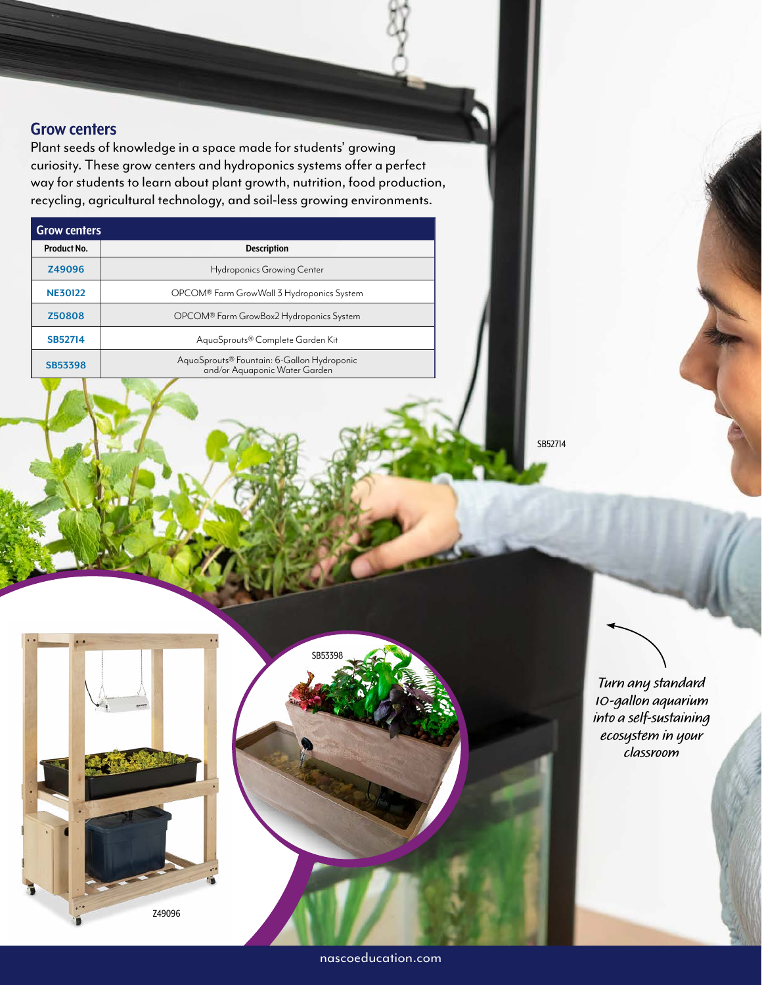#### **Grow centers**

Plant seeds of knowledge in a space made for students' growing curiosity. These grow centers and hydroponics systems offer a perfect way for students to learn about plant growth, nutrition, food production, recycling, agricultural technology, and soil-less growing environments.

| <b>Grow centers</b> |                                                                             |  |
|---------------------|-----------------------------------------------------------------------------|--|
| Product No.         | <b>Description</b>                                                          |  |
| Z49096              | <b>Hydroponics Growing Center</b>                                           |  |
| <b>NE30122</b>      | OPCOM® Farm GrowWall 3 Hydroponics System                                   |  |
| Z50808              | OPCOM® Farm GrowBox2 Hydroponics System                                     |  |
| SB52714             | AguaSprouts® Complete Garden Kit                                            |  |
| SB53398             | AquaSprouts® Fountain: 6-Gallon Hydroponic<br>and/or Aquaponic Water Garden |  |

[SB52714](https://www.enasco.com/p/SB52714)



**Turn any standard 10-gallon aquarium into a self-sustaining ecosystem in your classroom**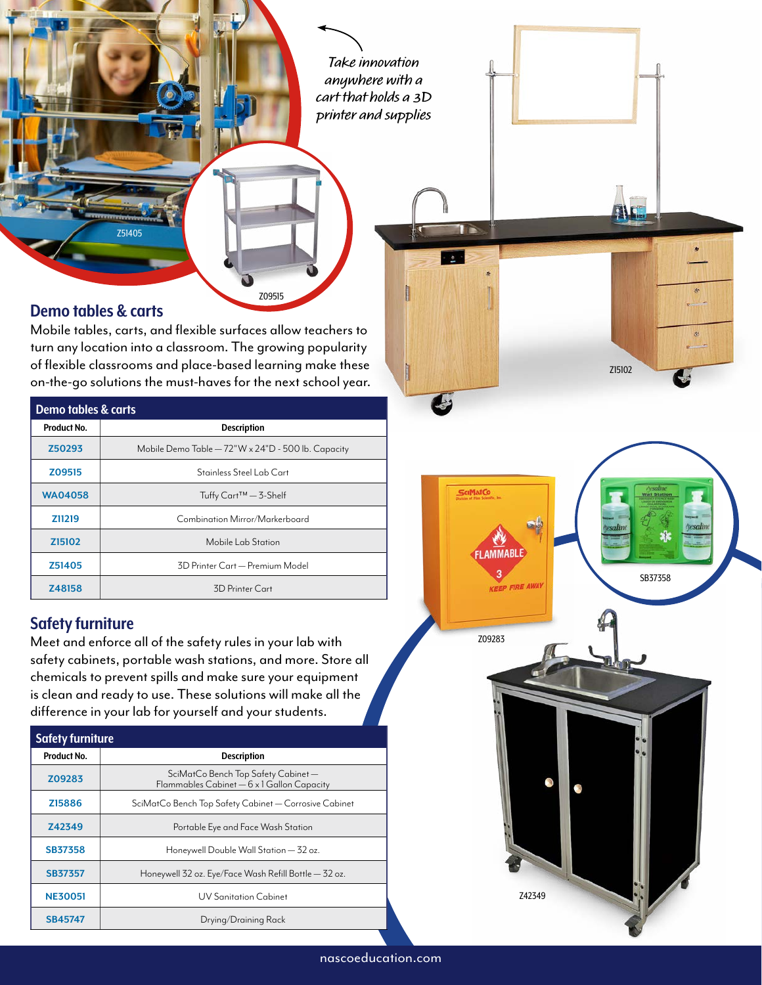**Take innovation anywhere with a cart that holds a 3D printer and supplies**

#### **Demo tables & carts**

[Z51405](https://www.enasco.com/p/Z51405)

Mobile tables, carts, and flexible surfaces allow teachers to turn any location into a classroom. The growing popularity of flexible classrooms and place-based learning make these on-the-go solutions the must-haves for the next school year.

[Z09515](https://www.enasco.com/p/Z09515)

| Demo tables & carts |                                                    |  |
|---------------------|----------------------------------------------------|--|
| Product No.         | <b>Description</b>                                 |  |
| Z50293              | Mobile Demo Table - 72"W x 24"D - 500 lb. Capacity |  |
| Z09515              | Stainless Steel Lab Cart                           |  |
| <b>WA04058</b>      | Tuffy Cart <sup>™</sup> – 3-Shelf                  |  |
| Z11219              | Combination Mirror/Markerboard                     |  |
| Z <sub>151</sub> 02 | Mobile Lab Station                                 |  |
| Z51405              | 3D Printer Cart — Premium Model                    |  |
| Z48158              | 3D Printer Cart                                    |  |

#### **Safety furniture**

Meet and enforce all of the safety rules in your lab with safety cabinets, portable wash stations, and more. Store all chemicals to prevent spills and make sure your equipment is clean and ready to use. These solutions will make all the difference in your lab for yourself and your students.

| <b>Safety furniture</b> |                                                                                   |  |
|-------------------------|-----------------------------------------------------------------------------------|--|
| Product No.             | <b>Description</b>                                                                |  |
| Z09283                  | SciMatCo Bench Top Safety Cabinet —<br>Flammables Cabinet - 6 x 1 Gallon Capacity |  |
| Z15886                  | SciMatCo Bench Top Safety Cabinet - Corrosive Cabinet                             |  |
| Z42349                  | Portable Eye and Face Wash Station                                                |  |
| <b>SB37358</b>          | Honeywell Double Wall Station - 32 oz.                                            |  |
| <b>SB37357</b>          | Honeywell 32 oz. Eye/Face Wash Refill Bottle — 32 oz.                             |  |
| <b>NE30051</b>          | UV Sanitation Cabinet                                                             |  |
| SB45747                 | Drying/Draining Rack                                                              |  |